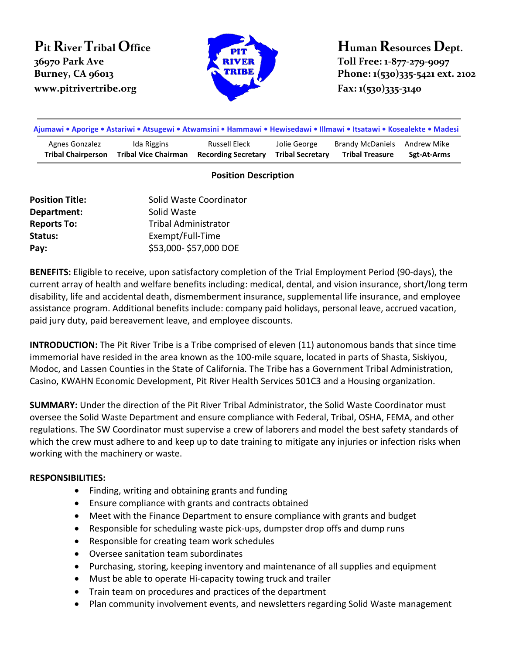## **Pit River Tribal Office 36970 Park Ave www.pitrivertribe.org Fax: 1(530)335-3140**



**Human Resources Dept. Toll Free: 1-877-279-9097 Burney, CA 96013 Phone: 1(530)335-5421 ext. 2102** 

| Ajumawi • Aporige • Astariwi • Atsugewi • Atwamsini • Hammawi • Hewisedawi • Illmawi • Itsatawi • Kosealekte • Madesi |                             |                            |                         |                              |             |
|-----------------------------------------------------------------------------------------------------------------------|-----------------------------|----------------------------|-------------------------|------------------------------|-------------|
| Agnes Gonzalez                                                                                                        | Ida Riggins                 | Russell Eleck              | Jolie George            | Brandy McDaniels Andrew Mike | Sgt-At-Arms |
| <b>Tribal Chairperson</b>                                                                                             | <b>Tribal Vice Chairman</b> | <b>Recording Secretary</b> | <b>Tribal Secretary</b> | <b>Tribal Treasure</b>       |             |

## **Position Description**

| <b>Position Title:</b> | Solid Waste Coordinator     |  |  |
|------------------------|-----------------------------|--|--|
| Department:            | Solid Waste                 |  |  |
| <b>Reports To:</b>     | <b>Tribal Administrator</b> |  |  |
| Status:                | Exempt/Full-Time            |  |  |
| Pay:                   | \$53,000-\$57,000 DOE       |  |  |

**BENEFITS:** Eligible to receive, upon satisfactory completion of the Trial Employment Period (90-days), the current array of health and welfare benefits including: medical, dental, and vision insurance, short/long term disability, life and accidental death, dismemberment insurance, supplemental life insurance, and employee assistance program. Additional benefits include: company paid holidays, personal leave, accrued vacation, paid jury duty, paid bereavement leave, and employee discounts.

**INTRODUCTION:** The Pit River Tribe is a Tribe comprised of eleven (11) autonomous bands that since time immemorial have resided in the area known as the 100-mile square, located in parts of Shasta, Siskiyou, Modoc, and Lassen Counties in the State of California. The Tribe has a Government Tribal Administration, Casino, KWAHN Economic Development, Pit River Health Services 501C3 and a Housing organization.

**SUMMARY:** Under the direction of the Pit River Tribal Administrator, the Solid Waste Coordinator must oversee the Solid Waste Department and ensure compliance with Federal, Tribal, OSHA, FEMA, and other regulations. The SW Coordinator must supervise a crew of laborers and model the best safety standards of which the crew must adhere to and keep up to date training to mitigate any injuries or infection risks when working with the machinery or waste.

## **RESPONSIBILITIES:**

- Finding, writing and obtaining grants and funding
- Ensure compliance with grants and contracts obtained
- Meet with the Finance Department to ensure compliance with grants and budget
- Responsible for scheduling waste pick-ups, dumpster drop offs and dump runs
- Responsible for creating team work schedules
- Oversee sanitation team subordinates
- Purchasing, storing, keeping inventory and maintenance of all supplies and equipment
- Must be able to operate Hi-capacity towing truck and trailer
- Train team on procedures and practices of the department
- Plan community involvement events, and newsletters regarding Solid Waste management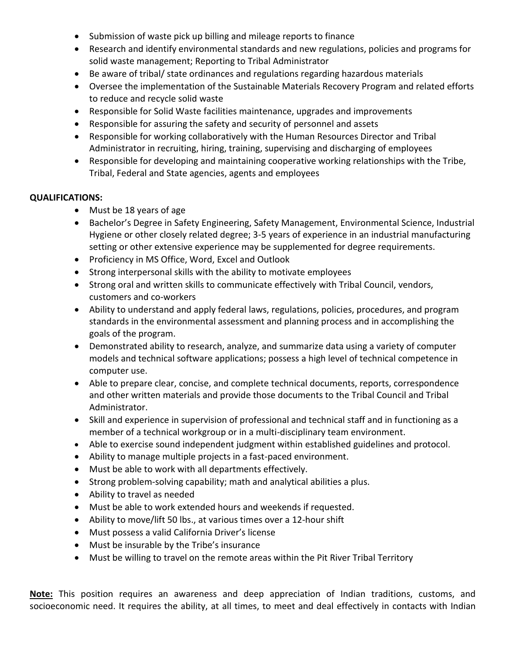- Submission of waste pick up billing and mileage reports to finance
- Research and identify environmental standards and new regulations, policies and programs for solid waste management; Reporting to Tribal Administrator
- Be aware of tribal/ state ordinances and regulations regarding hazardous materials
- Oversee the implementation of the Sustainable Materials Recovery Program and related efforts to reduce and recycle solid waste
- Responsible for Solid Waste facilities maintenance, upgrades and improvements
- Responsible for assuring the safety and security of personnel and assets
- Responsible for working collaboratively with the Human Resources Director and Tribal Administrator in recruiting, hiring, training, supervising and discharging of employees
- Responsible for developing and maintaining cooperative working relationships with the Tribe, Tribal, Federal and State agencies, agents and employees

## **QUALIFICATIONS:**

- Must be 18 years of age
- Bachelor's Degree in Safety Engineering, Safety Management, Environmental Science, Industrial Hygiene or other closely related degree; 3-5 years of experience in an industrial manufacturing setting or other extensive experience may be supplemented for degree requirements.
- Proficiency in MS Office, Word, Excel and Outlook
- Strong interpersonal skills with the ability to motivate employees
- Strong oral and written skills to communicate effectively with Tribal Council, vendors, customers and co-workers
- Ability to understand and apply federal laws, regulations, policies, procedures, and program standards in the environmental assessment and planning process and in accomplishing the goals of the program.
- Demonstrated ability to research, analyze, and summarize data using a variety of computer models and technical software applications; possess a high level of technical competence in computer use.
- Able to prepare clear, concise, and complete technical documents, reports, correspondence and other written materials and provide those documents to the Tribal Council and Tribal Administrator.
- Skill and experience in supervision of professional and technical staff and in functioning as a member of a technical workgroup or in a multi-disciplinary team environment.
- Able to exercise sound independent judgment within established guidelines and protocol.
- Ability to manage multiple projects in a fast-paced environment.
- Must be able to work with all departments effectively.
- Strong problem-solving capability; math and analytical abilities a plus.
- Ability to travel as needed
- Must be able to work extended hours and weekends if requested.
- Ability to move/lift 50 lbs., at various times over a 12-hour shift
- Must possess a valid California Driver's license
- Must be insurable by the Tribe's insurance
- Must be willing to travel on the remote areas within the Pit River Tribal Territory

**Note:** This position requires an awareness and deep appreciation of Indian traditions, customs, and socioeconomic need. It requires the ability, at all times, to meet and deal effectively in contacts with Indian